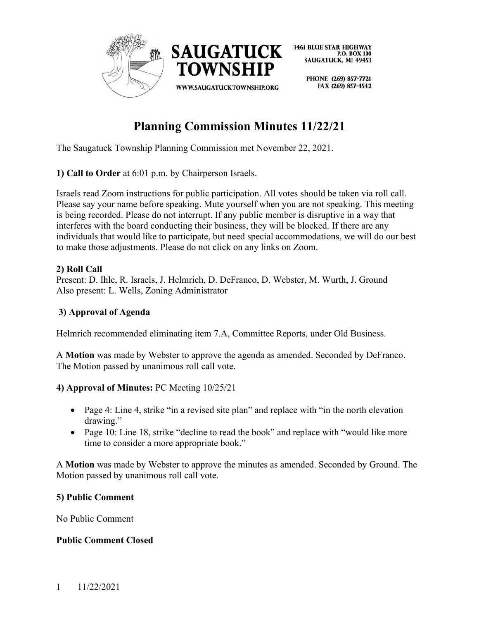

> PHONE (269) 857-7721 FAX (269) 857-4542

# **Planning Commission Minutes 11/22/21**

The Saugatuck Township Planning Commission met November 22, 2021.

# **1) Call to Order** at 6:01 p.m. by Chairperson Israels.

Israels read Zoom instructions for public participation. All votes should be taken via roll call. Please say your name before speaking. Mute yourself when you are not speaking. This meeting is being recorded. Please do not interrupt. If any public member is disruptive in a way that interferes with the board conducting their business, they will be blocked. If there are any individuals that would like to participate, but need special accommodations, we will do our best to make those adjustments. Please do not click on any links on Zoom.

# **2) Roll Call**

Present: D. Ihle, R. Israels, J. Helmrich, D. DeFranco, D. Webster, M. Wurth, J. Ground Also present: L. Wells, Zoning Administrator

# **3) Approval of Agenda**

Helmrich recommended eliminating item 7.A, Committee Reports, under Old Business.

A **Motion** was made by Webster to approve the agenda as amended. Seconded by DeFranco. The Motion passed by unanimous roll call vote.

# **4) Approval of Minutes:** PC Meeting 10/25/21

- Page 4: Line 4, strike "in a revised site plan" and replace with "in the north elevation drawing."
- Page 10: Line 18, strike "decline to read the book" and replace with "would like more time to consider a more appropriate book."

A **Motion** was made by Webster to approve the minutes as amended. Seconded by Ground. The Motion passed by unanimous roll call vote.

#### **5) Public Comment**

No Public Comment

#### **Public Comment Closed**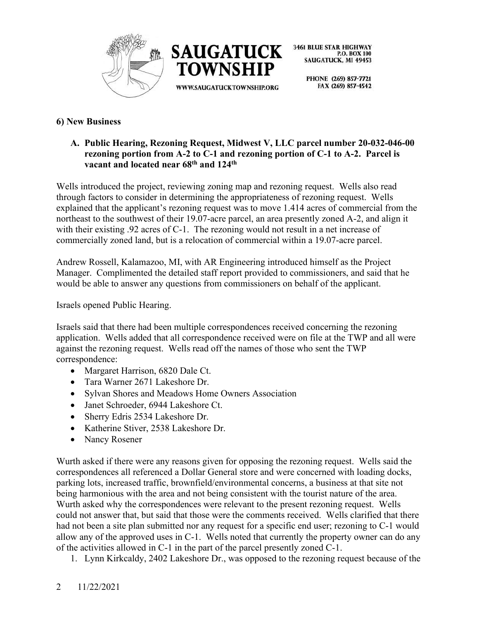



> PHONE (269) 857-7721 FAX (269) 857-4542

# **6) New Business**

#### **A. Public Hearing, Rezoning Request, Midwest V, LLC parcel number 20-032-046-00 rezoning portion from A-2 to C-1 and rezoning portion of C-1 to A-2. Parcel is vacant and located near 68th and 124th**

Wells introduced the project, reviewing zoning map and rezoning request. Wells also read through factors to consider in determining the appropriateness of rezoning request. Wells explained that the applicant's rezoning request was to move 1.414 acres of commercial from the northeast to the southwest of their 19.07-acre parcel, an area presently zoned A-2, and align it with their existing .92 acres of C-1. The rezoning would not result in a net increase of commercially zoned land, but is a relocation of commercial within a 19.07-acre parcel.

Andrew Rossell, Kalamazoo, MI, with AR Engineering introduced himself as the Project Manager. Complimented the detailed staff report provided to commissioners, and said that he would be able to answer any questions from commissioners on behalf of the applicant.

Israels opened Public Hearing.

Israels said that there had been multiple correspondences received concerning the rezoning application. Wells added that all correspondence received were on file at the TWP and all were against the rezoning request. Wells read off the names of those who sent the TWP correspondence:

- Margaret Harrison, 6820 Dale Ct.
- Tara Warner 2671 Lakeshore Dr.
- Sylvan Shores and Meadows Home Owners Association
- Janet Schroeder, 6944 Lakeshore Ct.
- Sherry Edris 2534 Lakeshore Dr.
- Katherine Stiver, 2538 Lakeshore Dr.
- Nancy Rosener

Wurth asked if there were any reasons given for opposing the rezoning request. Wells said the correspondences all referenced a Dollar General store and were concerned with loading docks, parking lots, increased traffic, brownfield/environmental concerns, a business at that site not being harmonious with the area and not being consistent with the tourist nature of the area. Wurth asked why the correspondences were relevant to the present rezoning request. Wells could not answer that, but said that those were the comments received. Wells clarified that there had not been a site plan submitted nor any request for a specific end user; rezoning to C-1 would allow any of the approved uses in C-1. Wells noted that currently the property owner can do any of the activities allowed in C-1 in the part of the parcel presently zoned C-1.

1. Lynn Kirkcaldy, 2402 Lakeshore Dr., was opposed to the rezoning request because of the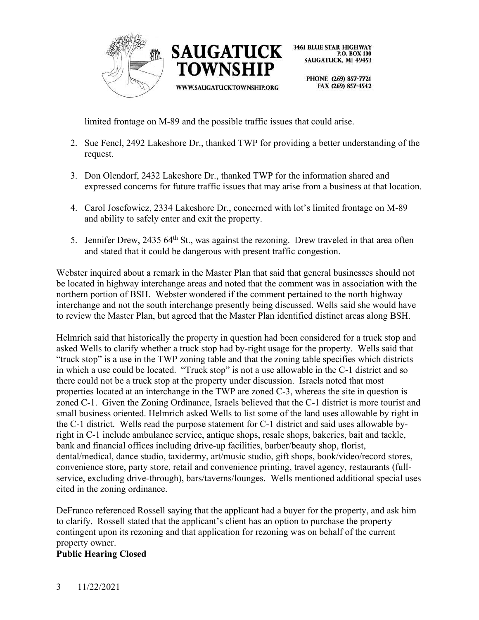



PHONE (269) 857-7721 FAX (269) 857-4542

limited frontage on M-89 and the possible traffic issues that could arise.

**TOWNSHIP** 

WWW.SAUGATUCKTOWNSHIP.ORG

- 2. Sue Fencl, 2492 Lakeshore Dr., thanked TWP for providing a better understanding of the request.
- 3. Don Olendorf, 2432 Lakeshore Dr., thanked TWP for the information shared and expressed concerns for future traffic issues that may arise from a business at that location.
- 4. Carol Josefowicz, 2334 Lakeshore Dr., concerned with lot's limited frontage on M-89 and ability to safely enter and exit the property.
- 5. Jennifer Drew, 2435 64<sup>th</sup> St., was against the rezoning. Drew traveled in that area often and stated that it could be dangerous with present traffic congestion.

Webster inquired about a remark in the Master Plan that said that general businesses should not be located in highway interchange areas and noted that the comment was in association with the northern portion of BSH. Webster wondered if the comment pertained to the north highway interchange and not the south interchange presently being discussed. Wells said she would have to review the Master Plan, but agreed that the Master Plan identified distinct areas along BSH.

Helmrich said that historically the property in question had been considered for a truck stop and asked Wells to clarify whether a truck stop had by-right usage for the property. Wells said that "truck stop" is a use in the TWP zoning table and that the zoning table specifies which districts in which a use could be located. "Truck stop" is not a use allowable in the C-1 district and so there could not be a truck stop at the property under discussion. Israels noted that most properties located at an interchange in the TWP are zoned C-3, whereas the site in question is zoned C-1. Given the Zoning Ordinance, Israels believed that the C-1 district is more tourist and small business oriented. Helmrich asked Wells to list some of the land uses allowable by right in the C-1 district. Wells read the purpose statement for C-1 district and said uses allowable byright in C-1 include ambulance service, antique shops, resale shops, bakeries, bait and tackle, bank and financial offices including drive-up facilities, barber/beauty shop, florist, dental/medical, dance studio, taxidermy, art/music studio, gift shops, book/video/record stores, convenience store, party store, retail and convenience printing, travel agency, restaurants (fullservice, excluding drive-through), bars/taverns/lounges. Wells mentioned additional special uses cited in the zoning ordinance.

DeFranco referenced Rossell saying that the applicant had a buyer for the property, and ask him to clarify. Rossell stated that the applicant's client has an option to purchase the property contingent upon its rezoning and that application for rezoning was on behalf of the current property owner.

#### **Public Hearing Closed**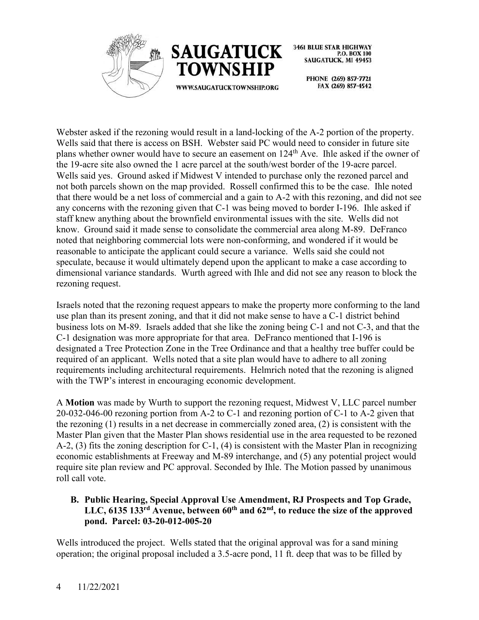



> PHONE (269) 857-7721 FAX (269) 857-4542

Webster asked if the rezoning would result in a land-locking of the A-2 portion of the property. Wells said that there is access on BSH. Webster said PC would need to consider in future site plans whether owner would have to secure an easement on 124<sup>th</sup> Ave. Ihle asked if the owner of the 19-acre site also owned the 1 acre parcel at the south/west border of the 19-acre parcel. Wells said yes. Ground asked if Midwest V intended to purchase only the rezoned parcel and not both parcels shown on the map provided. Rossell confirmed this to be the case. Ihle noted that there would be a net loss of commercial and a gain to A-2 with this rezoning, and did not see any concerns with the rezoning given that C-1 was being moved to border I-196. Ihle asked if staff knew anything about the brownfield environmental issues with the site. Wells did not know. Ground said it made sense to consolidate the commercial area along M-89. DeFranco noted that neighboring commercial lots were non-conforming, and wondered if it would be reasonable to anticipate the applicant could secure a variance. Wells said she could not speculate, because it would ultimately depend upon the applicant to make a case according to dimensional variance standards. Wurth agreed with Ihle and did not see any reason to block the rezoning request.

Israels noted that the rezoning request appears to make the property more conforming to the land use plan than its present zoning, and that it did not make sense to have a C-1 district behind business lots on M-89. Israels added that she like the zoning being C-1 and not C-3, and that the C-1 designation was more appropriate for that area. DeFranco mentioned that I-196 is designated a Tree Protection Zone in the Tree Ordinance and that a healthy tree buffer could be required of an applicant. Wells noted that a site plan would have to adhere to all zoning requirements including architectural requirements. Helmrich noted that the rezoning is aligned with the TWP's interest in encouraging economic development.

A **Motion** was made by Wurth to support the rezoning request, Midwest V, LLC parcel number 20-032-046-00 rezoning portion from A-2 to C-1 and rezoning portion of C-1 to A-2 given that the rezoning (1) results in a net decrease in commercially zoned area, (2) is consistent with the Master Plan given that the Master Plan shows residential use in the area requested to be rezoned A-2, (3) fits the zoning description for C-1, (4) is consistent with the Master Plan in recognizing economic establishments at Freeway and M-89 interchange, and (5) any potential project would require site plan review and PC approval. Seconded by Ihle. The Motion passed by unanimous roll call vote.

# **B. Public Hearing, Special Approval Use Amendment, RJ Prospects and Top Grade, LLC, 6135 133rd Avenue, between 60th and 62nd, to reduce the size of the approved pond. Parcel: 03-20-012-005-20**

Wells introduced the project. Wells stated that the original approval was for a sand mining operation; the original proposal included a 3.5-acre pond, 11 ft. deep that was to be filled by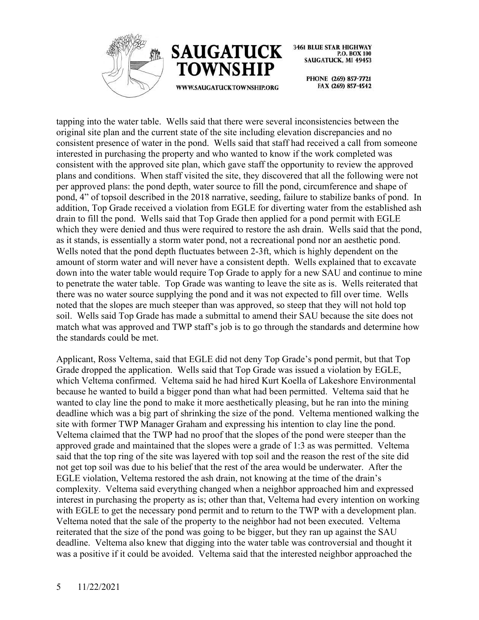



WWW.SAUGATUCKTOWNSHIP.ORG

**3461 BLUE STAR HIGHWAY** P.O. BOX 100 SAUGATUCK, MI 49453

> PHONE (269) 857-7721 FAX (269) 857-4542

tapping into the water table. Wells said that there were several inconsistencies between the original site plan and the current state of the site including elevation discrepancies and no consistent presence of water in the pond. Wells said that staff had received a call from someone interested in purchasing the property and who wanted to know if the work completed was consistent with the approved site plan, which gave staff the opportunity to review the approved plans and conditions. When staff visited the site, they discovered that all the following were not per approved plans: the pond depth, water source to fill the pond, circumference and shape of pond, 4" of topsoil described in the 2018 narrative, seeding, failure to stabilize banks of pond. In addition, Top Grade received a violation from EGLE for diverting water from the established ash drain to fill the pond. Wells said that Top Grade then applied for a pond permit with EGLE which they were denied and thus were required to restore the ash drain. Wells said that the pond, as it stands, is essentially a storm water pond, not a recreational pond nor an aesthetic pond. Wells noted that the pond depth fluctuates between 2-3ft, which is highly dependent on the amount of storm water and will never have a consistent depth. Wells explained that to excavate down into the water table would require Top Grade to apply for a new SAU and continue to mine to penetrate the water table. Top Grade was wanting to leave the site as is. Wells reiterated that there was no water source supplying the pond and it was not expected to fill over time. Wells noted that the slopes are much steeper than was approved, so steep that they will not hold top soil. Wells said Top Grade has made a submittal to amend their SAU because the site does not match what was approved and TWP staff's job is to go through the standards and determine how the standards could be met.

Applicant, Ross Veltema, said that EGLE did not deny Top Grade's pond permit, but that Top Grade dropped the application. Wells said that Top Grade was issued a violation by EGLE, which Veltema confirmed. Veltema said he had hired Kurt Koella of Lakeshore Environmental because he wanted to build a bigger pond than what had been permitted. Veltema said that he wanted to clay line the pond to make it more aesthetically pleasing, but he ran into the mining deadline which was a big part of shrinking the size of the pond. Veltema mentioned walking the site with former TWP Manager Graham and expressing his intention to clay line the pond. Veltema claimed that the TWP had no proof that the slopes of the pond were steeper than the approved grade and maintained that the slopes were a grade of 1:3 as was permitted. Veltema said that the top ring of the site was layered with top soil and the reason the rest of the site did not get top soil was due to his belief that the rest of the area would be underwater. After the EGLE violation, Veltema restored the ash drain, not knowing at the time of the drain's complexity. Veltema said everything changed when a neighbor approached him and expressed interest in purchasing the property as is; other than that, Veltema had every intention on working with EGLE to get the necessary pond permit and to return to the TWP with a development plan. Veltema noted that the sale of the property to the neighbor had not been executed. Veltema reiterated that the size of the pond was going to be bigger, but they ran up against the SAU deadline. Veltema also knew that digging into the water table was controversial and thought it was a positive if it could be avoided. Veltema said that the interested neighbor approached the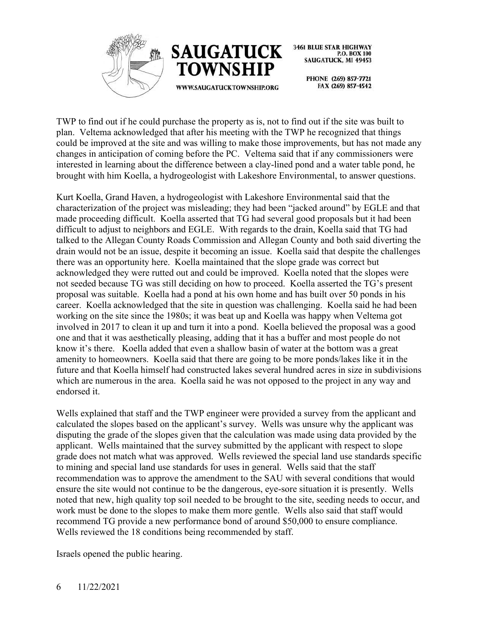



> PHONE (269) 857-7721 FAX (269) 857-4542

TWP to find out if he could purchase the property as is, not to find out if the site was built to plan. Veltema acknowledged that after his meeting with the TWP he recognized that things could be improved at the site and was willing to make those improvements, but has not made any changes in anticipation of coming before the PC. Veltema said that if any commissioners were interested in learning about the difference between a clay-lined pond and a water table pond, he brought with him Koella, a hydrogeologist with Lakeshore Environmental, to answer questions.

Kurt Koella, Grand Haven, a hydrogeologist with Lakeshore Environmental said that the characterization of the project was misleading; they had been "jacked around" by EGLE and that made proceeding difficult. Koella asserted that TG had several good proposals but it had been difficult to adjust to neighbors and EGLE. With regards to the drain, Koella said that TG had talked to the Allegan County Roads Commission and Allegan County and both said diverting the drain would not be an issue, despite it becoming an issue. Koella said that despite the challenges there was an opportunity here. Koella maintained that the slope grade was correct but acknowledged they were rutted out and could be improved. Koella noted that the slopes were not seeded because TG was still deciding on how to proceed. Koella asserted the TG's present proposal was suitable. Koella had a pond at his own home and has built over 50 ponds in his career. Koella acknowledged that the site in question was challenging. Koella said he had been working on the site since the 1980s; it was beat up and Koella was happy when Veltema got involved in 2017 to clean it up and turn it into a pond. Koella believed the proposal was a good one and that it was aesthetically pleasing, adding that it has a buffer and most people do not know it's there. Koella added that even a shallow basin of water at the bottom was a great amenity to homeowners. Koella said that there are going to be more ponds/lakes like it in the future and that Koella himself had constructed lakes several hundred acres in size in subdivisions which are numerous in the area. Koella said he was not opposed to the project in any way and endorsed it.

Wells explained that staff and the TWP engineer were provided a survey from the applicant and calculated the slopes based on the applicant's survey. Wells was unsure why the applicant was disputing the grade of the slopes given that the calculation was made using data provided by the applicant. Wells maintained that the survey submitted by the applicant with respect to slope grade does not match what was approved. Wells reviewed the special land use standards specific to mining and special land use standards for uses in general. Wells said that the staff recommendation was to approve the amendment to the SAU with several conditions that would ensure the site would not continue to be the dangerous, eye-sore situation it is presently. Wells noted that new, high quality top soil needed to be brought to the site, seeding needs to occur, and work must be done to the slopes to make them more gentle. Wells also said that staff would recommend TG provide a new performance bond of around \$50,000 to ensure compliance. Wells reviewed the 18 conditions being recommended by staff.

Israels opened the public hearing.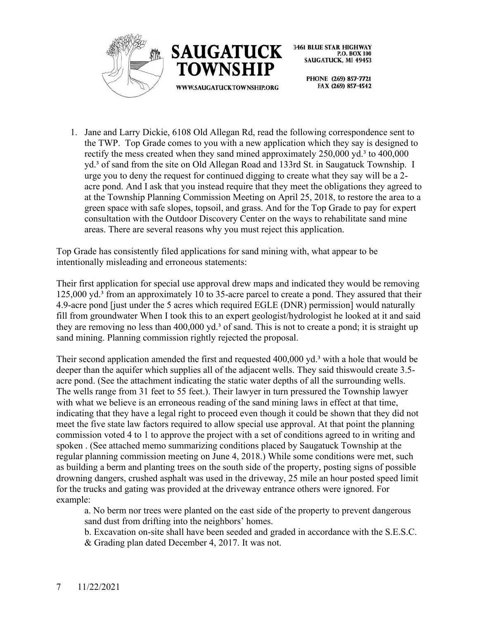



> PHONE (269) 857-7721 FAX (269) 857-4542

1. Jane and Larry Dickie, 6108 Old Allegan Rd, read the following correspondence sent to the TWP. Top Grade comes to you with a new application which they say is designed to rectify the mess created when they sand mined approximately 250,000 yd.<sup>3</sup> to 400,000 yd.³ of sand from the site on Old Allegan Road and 133rd St. in Saugatuck Township. I urge you to deny the request for continued digging to create what they say will be a 2 acre pond. And I ask that you instead require that they meet the obligations they agreed to at the Township Planning Commission Meeting on April 25, 2018, to restore the area to a green space with safe slopes, topsoil, and grass. And for the Top Grade to pay for expert consultation with the Outdoor Discovery Center on the ways to rehabilitate sand mine areas. There are several reasons why you must reject this application.

Top Grade has consistently filed applications for sand mining with, what appear to be intentionally misleading and erroneous statements:

Their first application for special use approval drew maps and indicated they would be removing 125,000 yd.<sup>3</sup> from an approximately 10 to 35-acre parcel to create a pond. They assured that their 4.9-acre pond [just under the 5 acres which required EGLE (DNR) permission] would naturally fill from groundwater When I took this to an expert geologist/hydrologist he looked at it and said they are removing no less than 400,000 yd.<sup>3</sup> of sand. This is not to create a pond; it is straight up sand mining. Planning commission rightly rejected the proposal.

Their second application amended the first and requested 400,000 yd.<sup>3</sup> with a hole that would be deeper than the aquifer which supplies all of the adjacent wells. They said thiswould create 3.5 acre pond. (See the attachment indicating the static water depths of all the surrounding wells. The wells range from 31 feet to 55 feet.). Their lawyer in turn pressured the Township lawyer with what we believe is an erroneous reading of the sand mining laws in effect at that time, indicating that they have a legal right to proceed even though it could be shown that they did not meet the five state law factors required to allow special use approval. At that point the planning commission voted 4 to 1 to approve the project with a set of conditions agreed to in writing and spoken . (See attached memo summarizing conditions placed by Saugatuck Township at the regular planning commission meeting on June 4, 2018.) While some conditions were met, such as building a berm and planting trees on the south side of the property, posting signs of possible drowning dangers, crushed asphalt was used in the driveway, 25 mile an hour posted speed limit for the trucks and gating was provided at the driveway entrance others were ignored. For example:

a. No berm nor trees were planted on the east side of the property to prevent dangerous sand dust from drifting into the neighbors' homes.

b. Excavation on-site shall have been seeded and graded in accordance with the S.E.S.C. & Grading plan dated December 4, 2017. It was not.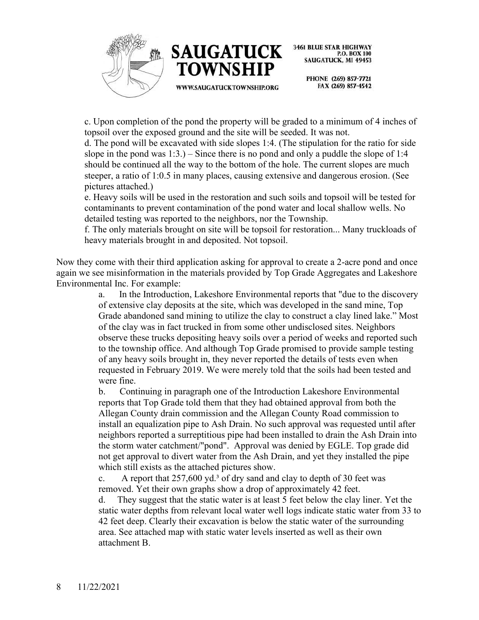



> PHONE (269) 857-7721 FAX (269) 857-4542

c. Upon completion of the pond the property will be graded to a minimum of 4 inches of topsoil over the exposed ground and the site will be seeded. It was not.

d. The pond will be excavated with side slopes 1:4. (The stipulation for the ratio for side slope in the pond was  $1:3.$ ) – Since there is no pond and only a puddle the slope of 1:4 should be continued all the way to the bottom of the hole. The current slopes are much steeper, a ratio of 1:0.5 in many places, causing extensive and dangerous erosion. (See pictures attached.)

e. Heavy soils will be used in the restoration and such soils and topsoil will be tested for contaminants to prevent contamination of the pond water and local shallow wells. No detailed testing was reported to the neighbors, nor the Township.

f. The only materials brought on site will be topsoil for restoration... Many truckloads of heavy materials brought in and deposited. Not topsoil.

Now they come with their third application asking for approval to create a 2-acre pond and once again we see misinformation in the materials provided by Top Grade Aggregates and Lakeshore Environmental Inc. For example:

a. In the Introduction, Lakeshore Environmental reports that "due to the discovery of extensive clay deposits at the site, which was developed in the sand mine, Top Grade abandoned sand mining to utilize the clay to construct a clay lined lake." Most of the clay was in fact trucked in from some other undisclosed sites. Neighbors observe these trucks depositing heavy soils over a period of weeks and reported such to the township office. And although Top Grade promised to provide sample testing of any heavy soils brought in, they never reported the details of tests even when requested in February 2019. We were merely told that the soils had been tested and were fine.

b. Continuing in paragraph one of the Introduction Lakeshore Environmental reports that Top Grade told them that they had obtained approval from both the Allegan County drain commission and the Allegan County Road commission to install an equalization pipe to Ash Drain. No such approval was requested until after neighbors reported a surreptitious pipe had been installed to drain the Ash Drain into the storm water catchment/"pond". Approval was denied by EGLE. Top grade did not get approval to divert water from the Ash Drain, and yet they installed the pipe which still exists as the attached pictures show.

c. A report that  $257,600$  yd.<sup>3</sup> of dry sand and clay to depth of 30 feet was removed. Yet their own graphs show a drop of approximately 42 feet.

d. They suggest that the static water is at least 5 feet below the clay liner. Yet the static water depths from relevant local water well logs indicate static water from 33 to 42 feet deep. Clearly their excavation is below the static water of the surrounding area. See attached map with static water levels inserted as well as their own attachment B.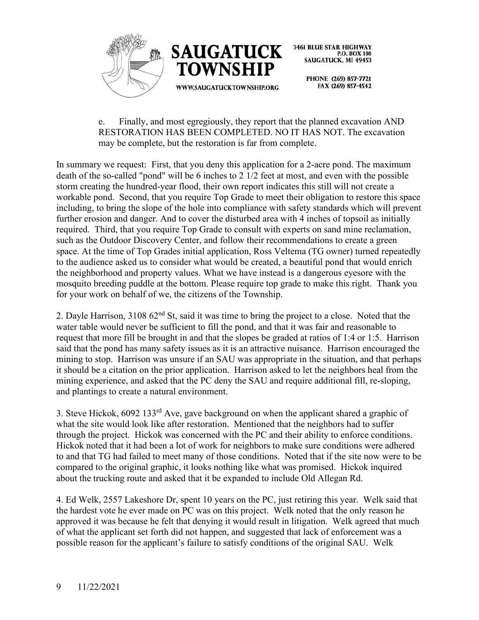

> PHONE (269) 857-7721 FAX (269) 857-4542

e. Finally, and most egregiously, they report that the planned excavation AND RESTORATION HAS BEEN COMPLETED. NO IT HAS NOT. The excavation may be complete, but the restoration is far from complete.

In summary we request: First, that you deny this application for a 2-acre pond. The maximum death of the so-called "pond" will be 6 inches to 2 1/2 feet at most, and even with the possible storm creating the hundred-year flood, their own report indicates this still will not create a workable pond. Second, that you require Top Grade to meet their obligation to restore this space including, to bring the slope of the hole into compliance with safety standards which will prevent further erosion and danger. And to cover the disturbed area with 4 inches of topsoil as initially required. Third, that you require Top Grade to consult with experts on sand mine reclamation, such as the Outdoor Discovery Center, and follow their recommendations to create a green space. At the time of Top Grades initial application, Ross Veltema (TG owner) turned repeatedly to the audience asked us to consider what would be created, a beautiful pond that would enrich the neighborhood and property values. What we have instead is a dangerous eyesore with the mosquito breeding puddle at the bottom. Please require top grade to make this right. Thank you for your work on behalf of we, the citizens of the Township.

2. Dayle Harrison, 3108 62<sup>nd</sup> St, said it was time to bring the project to a close. Noted that the water table would never be sufficient to fill the pond, and that it was fair and reasonable to request that more fill be brought in and that the slopes be graded at ratios of 1:4 or 1:5. Harrison said that the pond has many safety issues as it is an attractive nuisance. Harrison encouraged the mining to stop. Harrison was unsure if an SAU was appropriate in the situation, and that perhaps it should be a citation on the prior application. Harrison asked to let the neighbors heal from the mining experience, and asked that the PC deny the SAU and require additional fill, re-sloping, and plantings to create a natural environment.

3. Steve Hickok, 6092 133rd Ave, gave background on when the applicant shared a graphic of what the site would look like after restoration. Mentioned that the neighbors had to suffer through the project. Hickok was concerned with the PC and their ability to enforce conditions. Hickok noted that it had been a lot of work for neighbors to make sure conditions were adhered to and that TG had failed to meet many of those conditions. Noted that if the site now were to be compared to the original graphic, it looks nothing like what was promised. Hickok inquired about the trucking route and asked that it be expanded to include Old Allegan Rd.

4. Ed Welk, 2557 Lakeshore Dr, spent 10 years on the PC, just retiring this year. Welk said that the hardest vote he ever made on PC was on this project. Welk noted that the only reason he approved it was because he felt that denying it would result in litigation. Welk agreed that much of what the applicant set forth did not happen, and suggested that lack of enforcement was a possible reason for the applicant's failure to satisfy conditions of the original SAU. Welk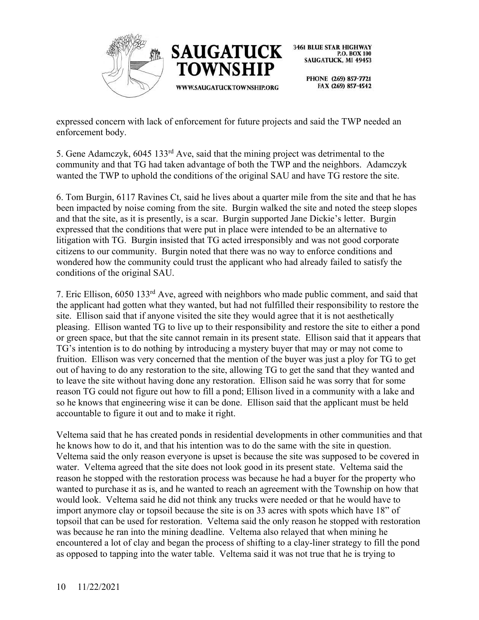



PHONE (269) 857-7721 FAX (269) 857-4542

expressed concern with lack of enforcement for future projects and said the TWP needed an enforcement body.

5. Gene Adamczyk, 6045 133rd Ave, said that the mining project was detrimental to the community and that TG had taken advantage of both the TWP and the neighbors. Adamczyk wanted the TWP to uphold the conditions of the original SAU and have TG restore the site.

6. Tom Burgin, 6117 Ravines Ct, said he lives about a quarter mile from the site and that he has been impacted by noise coming from the site. Burgin walked the site and noted the steep slopes and that the site, as it is presently, is a scar. Burgin supported Jane Dickie's letter. Burgin expressed that the conditions that were put in place were intended to be an alternative to litigation with TG. Burgin insisted that TG acted irresponsibly and was not good corporate citizens to our community. Burgin noted that there was no way to enforce conditions and wondered how the community could trust the applicant who had already failed to satisfy the conditions of the original SAU.

7. Eric Ellison, 6050 133rd Ave, agreed with neighbors who made public comment, and said that the applicant had gotten what they wanted, but had not fulfilled their responsibility to restore the site. Ellison said that if anyone visited the site they would agree that it is not aesthetically pleasing. Ellison wanted TG to live up to their responsibility and restore the site to either a pond or green space, but that the site cannot remain in its present state. Ellison said that it appears that TG's intention is to do nothing by introducing a mystery buyer that may or may not come to fruition. Ellison was very concerned that the mention of the buyer was just a ploy for TG to get out of having to do any restoration to the site, allowing TG to get the sand that they wanted and to leave the site without having done any restoration. Ellison said he was sorry that for some reason TG could not figure out how to fill a pond; Ellison lived in a community with a lake and so he knows that engineering wise it can be done. Ellison said that the applicant must be held accountable to figure it out and to make it right.

Veltema said that he has created ponds in residential developments in other communities and that he knows how to do it, and that his intention was to do the same with the site in question. Veltema said the only reason everyone is upset is because the site was supposed to be covered in water. Veltema agreed that the site does not look good in its present state. Veltema said the reason he stopped with the restoration process was because he had a buyer for the property who wanted to purchase it as is, and he wanted to reach an agreement with the Township on how that would look. Veltema said he did not think any trucks were needed or that he would have to import anymore clay or topsoil because the site is on 33 acres with spots which have 18" of topsoil that can be used for restoration. Veltema said the only reason he stopped with restoration was because he ran into the mining deadline. Veltema also relayed that when mining he encountered a lot of clay and began the process of shifting to a clay-liner strategy to fill the pond as opposed to tapping into the water table. Veltema said it was not true that he is trying to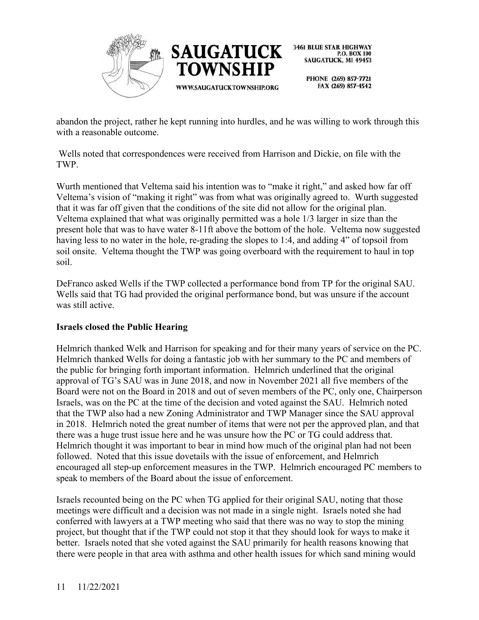

> PHONE (269) 857-7721 FAX (269) 857-4542

abandon the project, rather he kept running into hurdles, and he was willing to work through this with a reasonable outcome.

Wells noted that correspondences were received from Harrison and Dickie, on file with the TWP.

Wurth mentioned that Veltema said his intention was to "make it right," and asked how far off Veltema's vision of "making it right" was from what was originally agreed to. Wurth suggested that it was far off given that the conditions of the site did not allow for the original plan. Veltema explained that what was originally permitted was a hole 1/3 larger in size than the present hole that was to have water 8-11ft above the bottom of the hole. Veltema now suggested having less to no water in the hole, re-grading the slopes to 1:4, and adding 4" of topsoil from soil onsite. Veltema thought the TWP was going overboard with the requirement to haul in top soil.

DeFranco asked Wells if the TWP collected a performance bond from TP for the original SAU. Wells said that TG had provided the original performance bond, but was unsure if the account was still active.

#### **Israels closed the Public Hearing**

Helmrich thanked Welk and Harrison for speaking and for their many years of service on the PC. Helmrich thanked Wells for doing a fantastic job with her summary to the PC and members of the public for bringing forth important information. Helmrich underlined that the original approval of TG's SAU was in June 2018, and now in November 2021 all five members of the Board were not on the Board in 2018 and out of seven members of the PC, only one, Chairperson Israels, was on the PC at the time of the decision and voted against the SAU. Helmrich noted that the TWP also had a new Zoning Administrator and TWP Manager since the SAU approval in 2018. Helmrich noted the great number of items that were not per the approved plan, and that there was a huge trust issue here and he was unsure how the PC or TG could address that. Helmrich thought it was important to bear in mind how much of the original plan had not been followed. Noted that this issue dovetails with the issue of enforcement, and Helmrich encouraged all step-up enforcement measures in the TWP. Helmrich encouraged PC members to speak to members of the Board about the issue of enforcement.

Israels recounted being on the PC when TG applied for their original SAU, noting that those meetings were difficult and a decision was not made in a single night. Israels noted she had conferred with lawyers at a TWP meeting who said that there was no way to stop the mining project, but thought that if the TWP could not stop it that they should look for ways to make it better. Israels noted that she voted against the SAU primarily for health reasons knowing that there were people in that area with asthma and other health issues for which sand mining would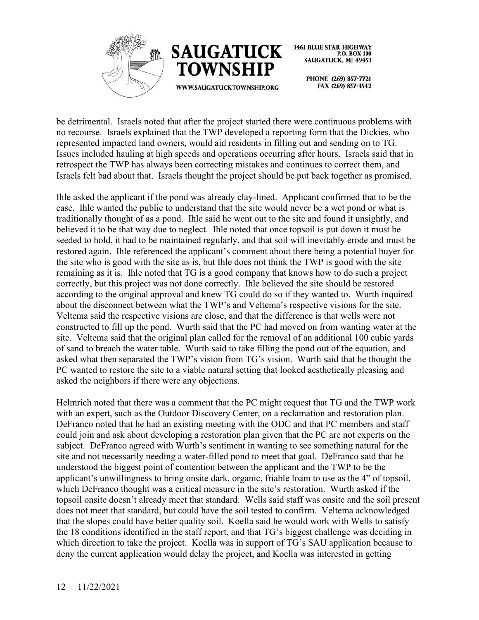



> PHONE (269) 857-7721 FAX (269) 857-4542

be detrimental. Israels noted that after the project started there were continuous problems with no recourse. Israels explained that the TWP developed a reporting form that the Dickies, who represented impacted land owners, would aid residents in filling out and sending on to TG. Issues included hauling at high speeds and operations occurring after hours. Israels said that in retrospect the TWP has always been correcting mistakes and continues to correct them, and Israels felt bad about that. Israels thought the project should be put back together as promised.

Ihle asked the applicant if the pond was already clay-lined. Applicant confirmed that to be the case. Ihle wanted the public to understand that the site would never be a wet pond or what is traditionally thought of as a pond. Ihle said he went out to the site and found it unsightly, and believed it to be that way due to neglect. Ihle noted that once topsoil is put down it must be seeded to hold, it had to be maintained regularly, and that soil will inevitably erode and must be restored again. Ihle referenced the applicant's comment about there being a potential buyer for the site who is good with the site as is, but Ihle does not think the TWP is good with the site remaining as it is. Ihle noted that TG is a good company that knows how to do such a project correctly, but this project was not done correctly. Ihle believed the site should be restored according to the original approval and knew TG could do so if they wanted to. Wurth inquired about the disconnect between what the TWP's and Veltema's respective visions for the site. Veltema said the respective visions are close, and that the difference is that wells were not constructed to fill up the pond. Wurth said that the PC had moved on from wanting water at the site. Veltema said that the original plan called for the removal of an additional 100 cubic yards of sand to breach the water table. Wurth said to take filling the pond out of the equation, and asked what then separated the TWP's vision from TG's vision. Wurth said that he thought the PC wanted to restore the site to a viable natural setting that looked aesthetically pleasing and asked the neighbors if there were any objections.

Helmrich noted that there was a comment that the PC might request that TG and the TWP work with an expert, such as the Outdoor Discovery Center, on a reclamation and restoration plan. DeFranco noted that he had an existing meeting with the ODC and that PC members and staff could join and ask about developing a restoration plan given that the PC are not experts on the subject. DeFranco agreed with Wurth's sentiment in wanting to see something natural for the site and not necessarily needing a water-filled pond to meet that goal. DeFranco said that he understood the biggest point of contention between the applicant and the TWP to be the applicant's unwillingness to bring onsite dark, organic, friable loam to use as the 4" of topsoil, which DeFranco thought was a critical measure in the site's restoration. Wurth asked if the topsoil onsite doesn't already meet that standard. Wells said staff was onsite and the soil present does not meet that standard, but could have the soil tested to confirm. Veltema acknowledged that the slopes could have better quality soil. Koella said he would work with Wells to satisfy the 18 conditions identified in the staff report, and that TG's biggest challenge was deciding in which direction to take the project. Koella was in support of TG's SAU application because to deny the current application would delay the project, and Koella was interested in getting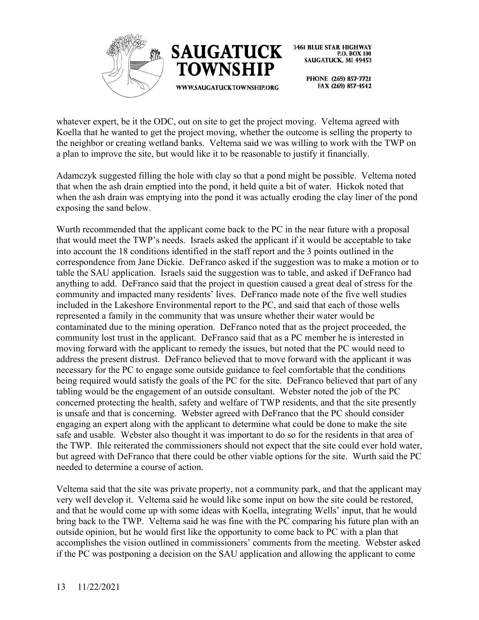



> PHONE (269) 857-7721 FAX (269) 857-4542

whatever expert, be it the ODC, out on site to get the project moving. Veltema agreed with Koella that he wanted to get the project moving, whether the outcome is selling the property to the neighbor or creating wetland banks. Veltema said we was willing to work with the TWP on a plan to improve the site, but would like it to be reasonable to justify it financially.

Adamczyk suggested filling the hole with clay so that a pond might be possible. Veltema noted that when the ash drain emptied into the pond, it held quite a bit of water. Hickok noted that when the ash drain was emptying into the pond it was actually eroding the clay liner of the pond exposing the sand below.

Wurth recommended that the applicant come back to the PC in the near future with a proposal that would meet the TWP's needs. Israels asked the applicant if it would be acceptable to take into account the 18 conditions identified in the staff report and the 3 points outlined in the correspondence from Jane Dickie. DeFranco asked if the suggestion was to make a motion or to table the SAU application. Israels said the suggestion was to table, and asked if DeFranco had anything to add. DeFranco said that the project in question caused a great deal of stress for the community and impacted many residents' lives. DeFranco made note of the five well studies included in the Lakeshore Environmental report to the PC, and said that each of those wells represented a family in the community that was unsure whether their water would be contaminated due to the mining operation. DeFranco noted that as the project proceeded, the community lost trust in the applicant. DeFranco said that as a PC member he is interested in moving forward with the applicant to remedy the issues, but noted that the PC would need to address the present distrust. DeFranco believed that to move forward with the applicant it was necessary for the PC to engage some outside guidance to feel comfortable that the conditions being required would satisfy the goals of the PC for the site. DeFranco believed that part of any tabling would be the engagement of an outside consultant. Webster noted the job of the PC concerned protecting the health, safety and welfare of TWP residents, and that the site presently is unsafe and that is concerning. Webster agreed with DeFranco that the PC should consider engaging an expert along with the applicant to determine what could be done to make the site safe and usable. Webster also thought it was important to do so for the residents in that area of the TWP. Ihle reiterated the commissioners should not expect that the site could ever hold water, but agreed with DeFranco that there could be other viable options for the site. Wurth said the PC needed to determine a course of action.

Veltema said that the site was private property, not a community park, and that the applicant may very well develop it. Veltema said he would like some input on how the site could be restored, and that he would come up with some ideas with Koella, integrating Wells' input, that he would bring back to the TWP. Veltema said he was fine with the PC comparing his future plan with an outside opinion, but he would first like the opportunity to come back to PC with a plan that accomplishes the vision outlined in commissioners' comments from the meeting. Webster asked if the PC was postponing a decision on the SAU application and allowing the applicant to come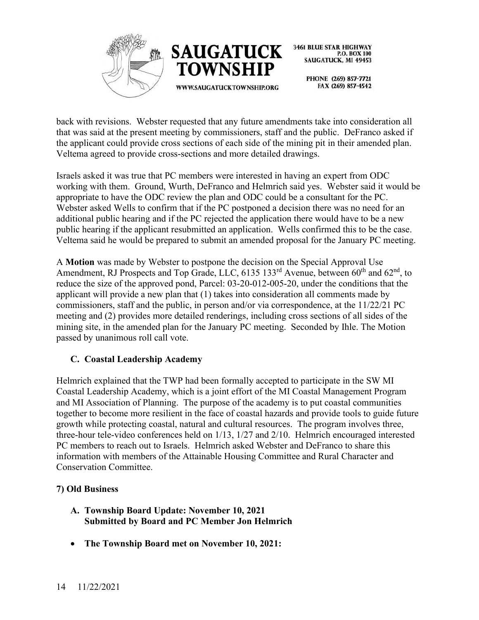



> PHONE (269) 857-7721 FAX (269) 857-4542

back with revisions. Webster requested that any future amendments take into consideration all that was said at the present meeting by commissioners, staff and the public. DeFranco asked if the applicant could provide cross sections of each side of the mining pit in their amended plan. Veltema agreed to provide cross-sections and more detailed drawings.

Israels asked it was true that PC members were interested in having an expert from ODC working with them. Ground, Wurth, DeFranco and Helmrich said yes. Webster said it would be appropriate to have the ODC review the plan and ODC could be a consultant for the PC. Webster asked Wells to confirm that if the PC postponed a decision there was no need for an additional public hearing and if the PC rejected the application there would have to be a new public hearing if the applicant resubmitted an application. Wells confirmed this to be the case. Veltema said he would be prepared to submit an amended proposal for the January PC meeting.

A **Motion** was made by Webster to postpone the decision on the Special Approval Use Amendment, RJ Prospects and Top Grade, LLC,  $6135$   $133<sup>rd</sup>$  Avenue, between  $60<sup>th</sup>$  and  $62<sup>nd</sup>$ , to reduce the size of the approved pond, Parcel: 03-20-012-005-20, under the conditions that the applicant will provide a new plan that (1) takes into consideration all comments made by commissioners, staff and the public, in person and/or via correspondence, at the 11/22/21 PC meeting and (2) provides more detailed renderings, including cross sections of all sides of the mining site, in the amended plan for the January PC meeting. Seconded by Ihle. The Motion passed by unanimous roll call vote.

# **C. Coastal Leadership Academy**

Helmrich explained that the TWP had been formally accepted to participate in the SW MI Coastal Leadership Academy, which is a joint effort of the MI Coastal Management Program and MI Association of Planning. The purpose of the academy is to put coastal communities together to become more resilient in the face of coastal hazards and provide tools to guide future growth while protecting coastal, natural and cultural resources. The program involves three, three-hour tele-video conferences held on 1/13, 1/27 and 2/10. Helmrich encouraged interested PC members to reach out to Israels. Helmrich asked Webster and DeFranco to share this information with members of the Attainable Housing Committee and Rural Character and Conservation Committee.

#### **7) Old Business**

- **A. Township Board Update: November 10, 2021 Submitted by Board and PC Member Jon Helmrich**
- **The Township Board met on November 10, 2021:**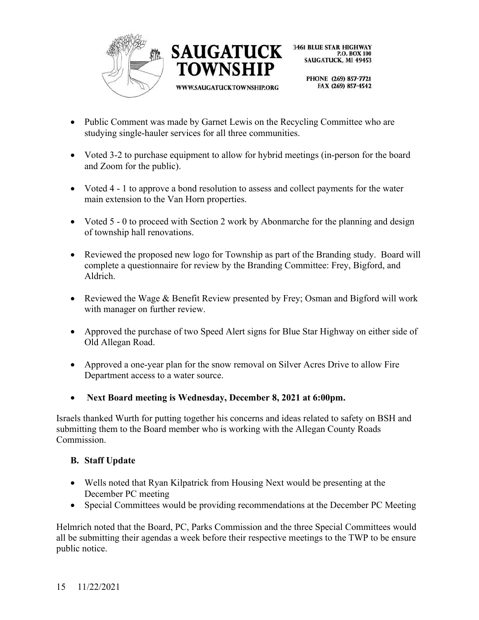



> PHONE (269) 857-7721 FAX (269) 857-4542

- Public Comment was made by Garnet Lewis on the Recycling Committee who are studying single-hauler services for all three communities.
- Voted 3-2 to purchase equipment to allow for hybrid meetings (in-person for the board and Zoom for the public).
- Voted 4 1 to approve a bond resolution to assess and collect payments for the water main extension to the Van Horn properties.
- Voted 5 0 to proceed with Section 2 work by Abonmarche for the planning and design of township hall renovations.
- Reviewed the proposed new logo for Township as part of the Branding study. Board will complete a questionnaire for review by the Branding Committee: Frey, Bigford, and Aldrich.
- Reviewed the Wage & Benefit Review presented by Frey; Osman and Bigford will work with manager on further review.
- Approved the purchase of two Speed Alert signs for Blue Star Highway on either side of Old Allegan Road.
- Approved a one-year plan for the snow removal on Silver Acres Drive to allow Fire Department access to a water source.
- **Next Board meeting is Wednesday, December 8, 2021 at 6:00pm.**

Israels thanked Wurth for putting together his concerns and ideas related to safety on BSH and submitting them to the Board member who is working with the Allegan County Roads Commission.

#### **B. Staff Update**

- Wells noted that Ryan Kilpatrick from Housing Next would be presenting at the December PC meeting
- Special Committees would be providing recommendations at the December PC Meeting

Helmrich noted that the Board, PC, Parks Commission and the three Special Committees would all be submitting their agendas a week before their respective meetings to the TWP to be ensure public notice.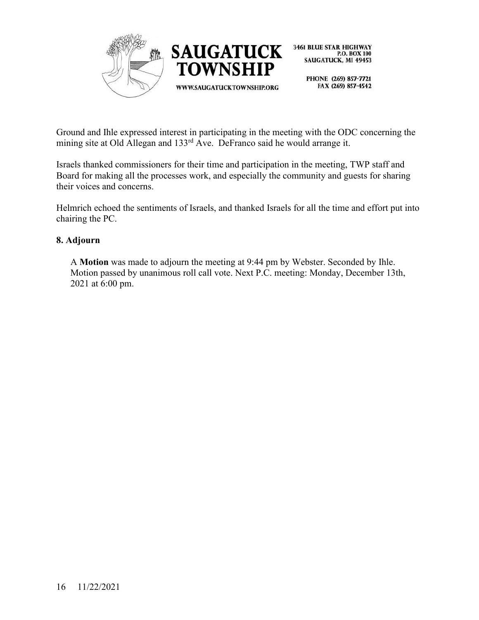

> PHONE (269) 857-7721 FAX (269) 857-4542

Ground and Ihle expressed interest in participating in the meeting with the ODC concerning the mining site at Old Allegan and 133<sup>rd</sup> Ave. DeFranco said he would arrange it.

Israels thanked commissioners for their time and participation in the meeting, TWP staff and Board for making all the processes work, and especially the community and guests for sharing their voices and concerns.

Helmrich echoed the sentiments of Israels, and thanked Israels for all the time and effort put into chairing the PC.

# **8. Adjourn**

A **Motion** was made to adjourn the meeting at 9:44 pm by Webster. Seconded by Ihle. Motion passed by unanimous roll call vote. Next P.C. meeting: Monday, December 13th, 2021 at 6:00 pm.